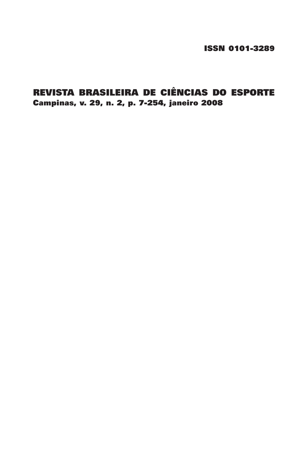ISSN 0101-3289

# REVISTA BRASILEIRA DE CIÊNCIAS DO ESPORTE Campinas, v. 29, n. 2, p. 7-254, janeiro 2008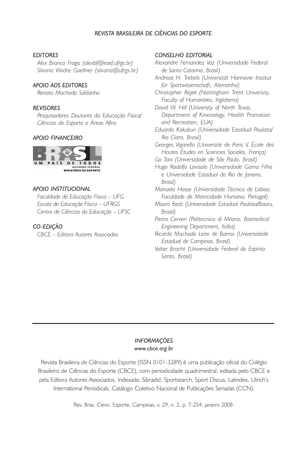## *REVISTA BRASILEIRA DE CIÊNCIAS DO ESPORTE*

#### *EDITORES*

*Alex Branco Fraga (alexbf@esef.ufrgs.br) Silvana Vilodre Goellner (silvana@ufrgs.br)*

#### *APOIO AOS EDITORES*

*Renato Machado Saldanha*

#### *REVISORES*

*Pesquisadores Doutores da Educação Física/ Ciências do Esporte e Áreas Afins*

### *APOIO FINANCEIRO*



#### *APOIO INSTITUCIONAL*

*Faculdade de Educação Física – UFG Escola de Educação Física – UFRGS Centro de Ciências da Educação – UFSC*

## *CO-EDIÇÃO*

*CBCE – Editora Autores Associados*

#### *CONSELHO EDITORIAL*

*Alexandre Fernandez Vaz (Universidade Federal de Santa Catarina, Brasil)*

*Andreas H. Trebels (Universität Hannover Institut für Sportwissenschaft, Alemanha)*

*Christopher Rojek (Nottingham Trent University, Faculty of Humanities, Inglaterra)*

*David W. Hill (University of North Texas, Department of Kinesiology, Health Promotion and Recreation, EUA)*

*Eduardo Kokubun (Universidade Estadual Paulista/ Rio Claro, Brasil)*

*Georges Vigarello (Université de Paris V, École des Hautes Études en Sciencies Sociales, França)*

*Go Tani (Universidade de São Paulo, Brasil)*

*Hugo Rodolfo Lovisolo (Universidade Gama Filho e Universidade Estadual do Rio de Janeiro, Brasil)*

*Manuela Hasse (Universidade Técnica de Lisboa, Faculdade de Motricidade Humana, Portugal)*

*Mauro Betti (Universidade Estadual Paulista/Bauru, Brasil)*

*Pietro Cerveri (Politecnico di Milano, Biomedical Engineering Department, Itália)*

*Ricardo Machado Leite de Barros (Universidade Estadual de Campinas, Brasil)*

*Valter Bracht (Universidade Federal do Espírito Santo, Brasil)*

#### *INFORMAÇÕES www.cbce.org.br*

Revista Brasileira de Ciências do Esporte (ISSN 0101-3289) é uma publicação oficial do Colégio Brasileiro de Ciências do Esporte (CBCE), com periodicidade quadrimestral, editada pelo CBCE e pela Editora Autores Associados. Indexada: Sibradid, Sportsearch, Sport Discus, Latindex, Ulrich's International Periodicals, Catálogo Coletivo Nacional de Publicações Seriadas (CCN).

Rev. Bras. Cienc. Esporte, Campinas, v. 29, n. 2, p. 7-254, janeiro 2008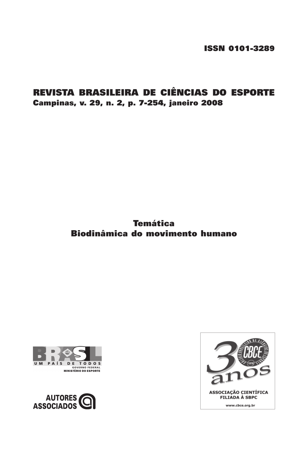ISSN 0101-3289

# REVISTA BRASILEIRA DE CIÊNCIAS DO ESPORTE Campinas, v. 29, n. 2, p. 7-254, janeiro 2008

# Temática Biodinâmica do movimento humano





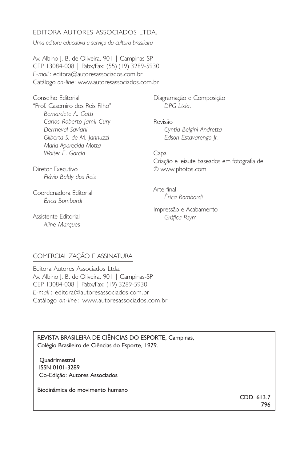## EDITORA AUTORES ASSOCIADOS LTDA.

*Uma editora educativa a serviço da cultura brasileira*

Av. Albino I. B. de Oliveira, 901 | Campinas-SP CEP 13084-008 | Pabx/Fax: (55) (19) 3289-5930 *E-mail* : editora@autoresassociados.com.br Catálogo *on-line*: www.autoresassociados.com.br

Conselho Editorial "Prof. Casemiro dos Reis Filho" *Bernardete A. Gatti Carlos Roberto Jamil Cury Dermeval Saviani Gilberta S. de M. Jannuzzi Maria Aparecida Motta Walter E. Garcia*

Diagramação e Composição *DPG Ltda.*

Revisão *Cyntia Belgini Andretta Edson Estavarengo Jr.*

Capa Criação e leiaute baseados em fotografia de © www.photos.com

Arte-final *Érica Bombardi*

Impressão e Acabamento *Gráfica Paym*

Diretor Executivo *Flávio Baldy dos Reis*

Coordenadora Editorial *Érica Bombardi*

Assistente Editorial *Aline Marques*

## COMERCIALIZAÇÃO E ASSINATURA

Editora Autores Associados Ltda. Av. Albino I. B. de Oliveira, 901 | Campinas-SP CEP 13084-008 | Pabx/Fax: (19) 3289-5930 *E-mail* : editora@autoresassociados.com.br Catálogo *on-line* : www.autoresassociados.com.br

REVISTA BRASILEIRA DE CIÊNCIAS DO ESPORTE, Campinas, Colégio Brasileiro de Ciências do Esporte, 1979.

 Quadrimestral ISSN 0101-3289 Co-Edição: Autores Associados

Biodinâmica do movimento humano

CDD. 613.7 796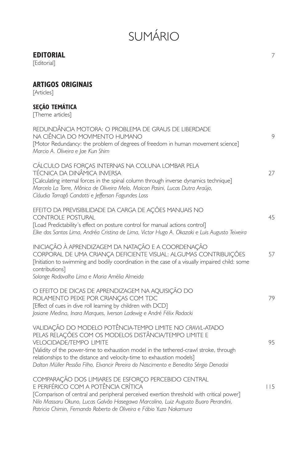# SUMÁRIO

# **EDITORIAL** 7

[Editorial]

# **ARTIGOS ORIGINAIS**

[Articles]

## **SEÇÃO TEMÁTICA**

[Theme articles]

| REDUNDÂNCIA MOTORA: O PROBLEMA DE GRAUS DE LIBERDADE<br>NA CIÊNCIA DO MOVIMENTO HUMANO<br>[Motor Redundancy: the problem of degrees of freedom in human movement science]<br>Marcio A. Oliveira e Jae Kun Shim                                                                                                                                                                                                 | 9   |
|----------------------------------------------------------------------------------------------------------------------------------------------------------------------------------------------------------------------------------------------------------------------------------------------------------------------------------------------------------------------------------------------------------------|-----|
| CÁLCULO DAS FORÇAS INTERNAS NA COLUNA LOMBAR PELA<br>TÉCNICA DA DINÂMICA INVERSA<br>[Calculating internal forces in the spinal column through inverse dynamics technique]<br>Marcelo La Torre, Mônica de Oliveira Melo, Maicon Pasini, Lucas Dutra Araújo,<br>Cláudia Tarragô Candotti e Jefferson Fagundes Loss                                                                                               | 27  |
| EFEITO DA PREVISIBILIDADE DA CARGA DE AÇÕES MANUAIS NO<br><b>CONTROLE POSTURAL</b><br>[Load Predictability's effect on posture control for manual actions control]<br>Elke dos Santos Lima, Andréa Cristina de Lima, Victor Hugo A. Okazaki e Luis Augusto Teixeira                                                                                                                                            | 45  |
| INICIAÇÃO À APRENDIZAGEM DA NATAÇÃO E A COORDENAÇÃO<br>CORPORAL DE UMA CRIANÇA DEFICIENTE VISUAL: ALGUMAS CONTRIBUIÇÕES<br>[Initiation to swimming and bodily coordination in the case of a visually impaired child: some<br>contributions]<br>Solange Rodovalho Lima e Maria Amélia Almeida                                                                                                                   | 57  |
| O EFEITO DE DICAS DE APRENDIZAGEM NA AQUISIÇÃO DO<br>ROLAMENTO PEIXE POR CRIANCAS COM TDC<br>[Effect of cues in dive roll learning by children with DCD]<br>Josiane Medina, Inara Marques, Iverson Ladewig e André Félix Rodacki                                                                                                                                                                               | 79  |
| VALIDAÇÃO DO MODELO POTÊNCIA-TEMPO LIMITE NO CRAWL-ATADO<br>PELAS RELAÇÕES COM OS MODELOS DISTÂNCIA/TEMPO LIMITE E<br><b>VELOCIDADE/TEMPO LIMITE</b><br>[Validity of the power-time to exhaustion model in the tethered-crawl stroke, through<br>relationships to the distance and velocity-time to exhaustion models]<br>Dalton Müller Pessôa Filho, Elvancir Pereira do Nascimento e Benedito Sérgio Denadai | 95  |
| COMPARAÇÃO DOS LIMIARES DE ESFORCO PERCEBIDO CENTRAL<br>E PERIFÉRICO COM A POTÊNCIA CRÍTICA<br>[Comparison of central and peripheral perceived exertion threshold with critical power]<br>Nilo Massaru Okuno, Lucas Galvão Hasegawa Marcolino, Luiz Augusto Buoro Perandini,<br>Patricia Chimin, Fernando Roberto de Oliveira e Fábio Yuzo Nakamura                                                            | 115 |